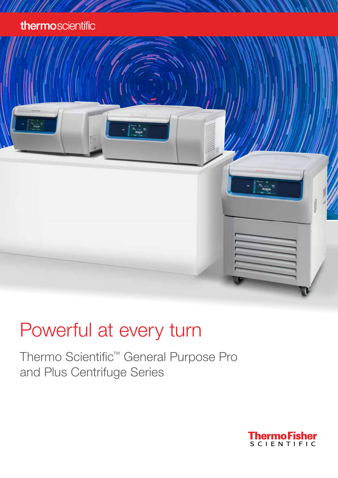## thermoscientific

# Powerful at every turn

Thermo Scientific™ General Purpose Pro and Plus Centrifuge Series

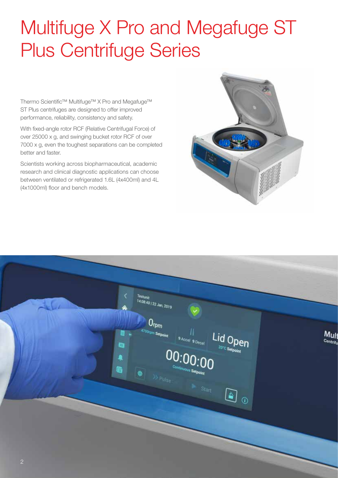## Multifuge X Pro and Megafuge ST Plus Centrifuge Series

Thermo Scientific™ Multifuge™ X Pro and Megafuge™ ST Plus centrifuges are designed to offer improved performance, reliability, consistency and safety.

With fixed-angle rotor RCF (Relative Centrifugal Force) of over 25000 x g, and swinging bucket rotor RCF of over 7000 x g, even the toughest separations can be completed better and faster.

Scientists working across biopharmaceutical, academic research and clinical diagnostic applications can choose between ventilated or refrigerated 1.6L (4x400ml) and 4L (4x1000ml) floor and bench models.



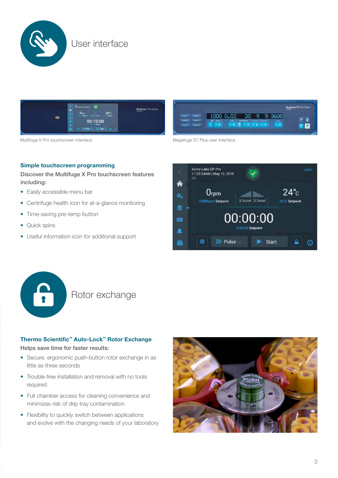



Multifuge X Pro touchscreen interface and the Megafuge ST Plus user interface



#### Simple touchscreen programming

Discover the Multifuge X Pro touchscreen features including:

- Easily accessible menu bar
- Centrifuge health icon for at-a-glance monitoring
- Time-saving pre-temp button
- Quick spins
- Useful information icon for additional support





## Rotor exchange

#### Thermo Scientific™ Auto-Lock™ Rotor Exchange

Helps save time for faster results:

- Secure, ergonomic push-button rotor exchange in as little as three seconds
- Trouble-free installation and removal with no tools required
- Full chamber access for cleaning convenience and minimizes risk of drip tray contamination
- Flexibility to quickly switch between applications and evolve with the changing needs of your laboratory

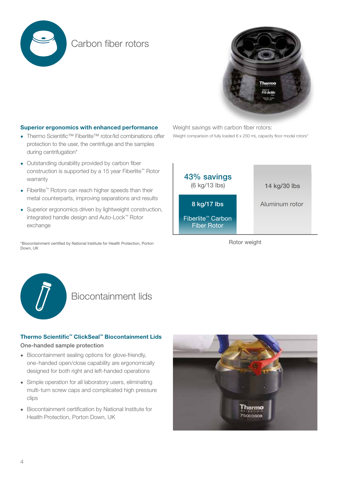

### Carbon fiber rotors



#### Superior ergonomics with enhanced performance

- Thermo Scientific™ Fiberlite™ rotor/lid combinations offer protection to the user, the centrifuge and the samples during centrifugation\*
- Outstanding durability provided by carbon fiber construction is supported by a 15 year Fiberlite™ Rotor warranty
- Fiberlite™ Rotors can reach higher speeds than their metal counterparts, improving separations and results
- Superior ergonomics driven by lightweight construction, integrated handle design and Auto-Lock™ Rotor exchange

\*Biocontainment certified by National Institute for Health Protection, Porton Down, UK

Weight savings with carbon fiber rotors: Weight comparison of fully loaded 6 x 250 mL capacity floor model rotors\*



Rotor weight



### Biocontainment lids

#### Thermo Scientific™ ClickSeal™ Biocontainment Lids

#### One-handed sample protection

- Biocontainment sealing options for glove-friendly, one-handed open/close capability are ergonomically designed for both right and left-handed operations
- Simple operation for all laboratory users, eliminating multi-turn screw caps and complicated high pressure clips
- Biocontainment certification by National Institute for Health Protection, Porton Down, UK

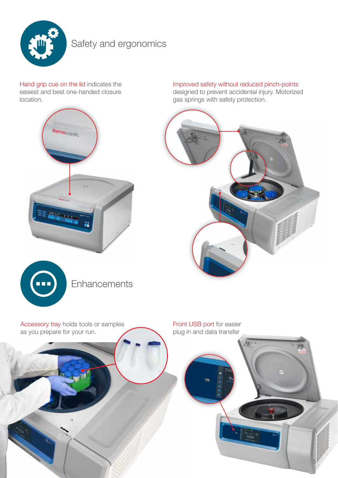

## Safety and ergonomics

Hand grip cue on the lid indicates the easiest and best one-handed closure location.



**Enhancements** 

Improved safety without reduced pinch-points designed to prevent accidental injury. Motorized gas springs with safety protection.



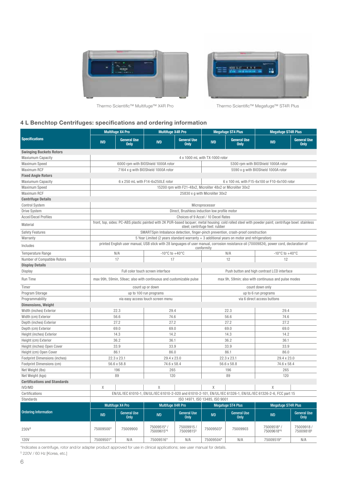



Thermo Scientific™ Multifuge™ X4R Pro Thermo Scientific™ Megafuge™ ST4R Plus

#### 4 L Benchtop Centrifuges: specifications and ordering information

|                                      |                                                                                                                           | <b>Multifuge X4 Pro</b>                                                                                                                                                               |                                                                                              | <b>Multifuge X4R Pro</b>                      | <b>Megafuge ST4 Plus</b>                                    |                                   | <b>Megafuge ST4R Plus</b>           |                                    |  |  |  |
|--------------------------------------|---------------------------------------------------------------------------------------------------------------------------|---------------------------------------------------------------------------------------------------------------------------------------------------------------------------------------|----------------------------------------------------------------------------------------------|-----------------------------------------------|-------------------------------------------------------------|-----------------------------------|-------------------------------------|------------------------------------|--|--|--|
| <b>Specifications</b>                | <b>IVD</b>                                                                                                                | <b>General Use</b><br><b>Only</b>                                                                                                                                                     | <b>IVD</b>                                                                                   | <b>General Use</b><br><b>Only</b>             | <b>IVD</b>                                                  | <b>General Use</b><br><b>Only</b> | <b>IVD</b>                          | <b>General Use</b><br><b>Only</b>  |  |  |  |
| <b>Swinging Buckets Rotors</b>       |                                                                                                                           |                                                                                                                                                                                       |                                                                                              |                                               |                                                             |                                   |                                     |                                    |  |  |  |
| <b>Maxiumum Capacity</b>             |                                                                                                                           | 4 x 1000 mL with TX-1000 rotor                                                                                                                                                        |                                                                                              |                                               |                                                             |                                   |                                     |                                    |  |  |  |
| <b>Maximum Speed</b>                 |                                                                                                                           | 6000 rpm with BIOShield 1000A rotor<br>5300 rpm with BIOShield 1000A rotor                                                                                                            |                                                                                              |                                               |                                                             |                                   |                                     |                                    |  |  |  |
| Maximum RCF                          |                                                                                                                           |                                                                                                                                                                                       | 7164 x g with BIOShield 1000A rotor                                                          |                                               |                                                             |                                   | 5590 x g with BIOShield 1000A rotor |                                    |  |  |  |
| <b>Fixed Angle Rotors</b>            |                                                                                                                           |                                                                                                                                                                                       |                                                                                              |                                               |                                                             |                                   |                                     |                                    |  |  |  |
| <b>Maxiumum Capacity</b>             |                                                                                                                           | 6 x 250 mL with F14-6x250LE rotor<br>6 x 100 mL with F15-6x100 or F10-6x100 rotor                                                                                                     |                                                                                              |                                               |                                                             |                                   |                                     |                                    |  |  |  |
| <b>Maximum Speed</b>                 |                                                                                                                           |                                                                                                                                                                                       |                                                                                              |                                               | 15200 rpm with F21-48x2, Microliter 48x2 or Microliter 30x2 |                                   |                                     |                                    |  |  |  |
| <b>Maximum RCF</b>                   |                                                                                                                           | 25830 x g with Microliter 30x2                                                                                                                                                        |                                                                                              |                                               |                                                             |                                   |                                     |                                    |  |  |  |
| <b>Centrifuge Details</b>            |                                                                                                                           |                                                                                                                                                                                       |                                                                                              |                                               |                                                             |                                   |                                     |                                    |  |  |  |
| <b>Control System</b>                |                                                                                                                           | Microprocessor                                                                                                                                                                        |                                                                                              |                                               |                                                             |                                   |                                     |                                    |  |  |  |
| Drive System                         |                                                                                                                           |                                                                                                                                                                                       |                                                                                              | Direct, Brushless induction low profile motor |                                                             |                                   |                                     |                                    |  |  |  |
| <b>Accel/Decel Profiles</b>          |                                                                                                                           | Choices of 9 Accel / 10 Decel Rates                                                                                                                                                   |                                                                                              |                                               |                                                             |                                   |                                     |                                    |  |  |  |
| Material                             |                                                                                                                           | front, top, sides: PC-ABS plastic painted with 2K PUR-based lacquer; metal housing: cold rolled steel with powder paint; centrifuge bowl: stainless<br>steel; centrifuge feet: rubber |                                                                                              |                                               |                                                             |                                   |                                     |                                    |  |  |  |
| <b>Safety Features</b>               |                                                                                                                           | SMARTSpin Imbalance detection, finger-pinch prevention, crash-proof construction                                                                                                      |                                                                                              |                                               |                                                             |                                   |                                     |                                    |  |  |  |
| Warranty                             |                                                                                                                           |                                                                                                                                                                                       | 5 Year Limited (2 years standard warranty $+$ 3 additional years on motor and refrigeration) |                                               |                                                             |                                   |                                     |                                    |  |  |  |
| Includes                             |                                                                                                                           | printed English user manual, USB stick with 28 languages of user manual, corrosion resistance oil (70009824), power cord, declaration of<br>conformity                                |                                                                                              |                                               |                                                             |                                   |                                     |                                    |  |  |  |
| <b>Temperature Range</b>             |                                                                                                                           | N/A                                                                                                                                                                                   | -10 $\degree$ C to +40 $\degree$ C                                                           |                                               |                                                             | N/A                               | -10 $\degree$ C to +40 $\degree$ C  |                                    |  |  |  |
| Number of Compatible Rotors          |                                                                                                                           | 17                                                                                                                                                                                    | 17                                                                                           |                                               |                                                             | 12                                | 12                                  |                                    |  |  |  |
| <b>Display Details</b>               |                                                                                                                           |                                                                                                                                                                                       |                                                                                              |                                               |                                                             |                                   |                                     |                                    |  |  |  |
| <b>Display</b>                       |                                                                                                                           | Full color touch screen interface<br>Push button and high contrast LCD interface                                                                                                      |                                                                                              |                                               |                                                             |                                   |                                     |                                    |  |  |  |
| <b>Run Time</b>                      | max 99h, 59min, 59sec; also with continuous and customizable pulse<br>max 9h, 59min; also with continuous and pulse modes |                                                                                                                                                                                       |                                                                                              |                                               |                                                             |                                   |                                     |                                    |  |  |  |
| Timer                                |                                                                                                                           | count up or down<br>count down only                                                                                                                                                   |                                                                                              |                                               |                                                             |                                   |                                     |                                    |  |  |  |
| Program Storage                      |                                                                                                                           |                                                                                                                                                                                       | up to 100 run programs                                                                       |                                               | up to 6 run programs                                        |                                   |                                     |                                    |  |  |  |
| Programmability                      |                                                                                                                           | via easy access touch screen menu<br>via 6 direct access buttons                                                                                                                      |                                                                                              |                                               |                                                             |                                   |                                     |                                    |  |  |  |
| <b>Dimensions, Weight</b>            |                                                                                                                           |                                                                                                                                                                                       |                                                                                              |                                               |                                                             |                                   |                                     |                                    |  |  |  |
| Width (inches) Exterior              |                                                                                                                           | 22.3                                                                                                                                                                                  | 29.4                                                                                         |                                               | 22.3                                                        |                                   | 29.4                                |                                    |  |  |  |
| Width (cm) Exterior                  |                                                                                                                           | 56.6                                                                                                                                                                                  |                                                                                              | 74.6                                          |                                                             | 56.6                              | 74.6                                |                                    |  |  |  |
| Depth (inches) Exterior              | 27.2                                                                                                                      |                                                                                                                                                                                       | 27.2                                                                                         |                                               |                                                             | 27.2                              | 27.2                                |                                    |  |  |  |
| Depth (cm) Exterior                  | 69.0                                                                                                                      |                                                                                                                                                                                       | 69.0                                                                                         |                                               |                                                             | 69.0                              | 69.0                                |                                    |  |  |  |
| Height (inches) Exterior             | 14.3                                                                                                                      |                                                                                                                                                                                       | 14.2                                                                                         |                                               | 14.3                                                        |                                   | 14.2                                |                                    |  |  |  |
| Height (cm) Exterior                 | 36.2                                                                                                                      |                                                                                                                                                                                       | 36.1                                                                                         |                                               | 36.2                                                        |                                   | 36.1                                |                                    |  |  |  |
| Height (inches) Open Cover           | 33.9                                                                                                                      |                                                                                                                                                                                       | 33.9                                                                                         |                                               | 33.9                                                        |                                   | 33.9                                |                                    |  |  |  |
| Height (cm) Open Cover               | 86.1                                                                                                                      |                                                                                                                                                                                       | 86.0                                                                                         |                                               | 86.1                                                        |                                   | 86.0                                |                                    |  |  |  |
| <b>Footprint Dimensions (inches)</b> | 22.3 x 23.1                                                                                                               |                                                                                                                                                                                       | 29.4 x 23.0                                                                                  |                                               | 22.3 x 23.1                                                 |                                   | 29.4 x 23.0                         |                                    |  |  |  |
| Footprint Dimensions (cm)            |                                                                                                                           | 56.6 x 58.8                                                                                                                                                                           |                                                                                              | 74.6 x 58.4                                   |                                                             | 56.6 x 58.8                       | 74.6 x 58.4                         |                                    |  |  |  |
| Net Weight (lbs)                     |                                                                                                                           | 196                                                                                                                                                                                   |                                                                                              | 265                                           |                                                             | 196                               | 265                                 |                                    |  |  |  |
| Net Weight (kgs)                     |                                                                                                                           | 89                                                                                                                                                                                    | 120                                                                                          |                                               |                                                             | 89                                | 120                                 |                                    |  |  |  |
| <b>Certifications and Standards</b>  |                                                                                                                           |                                                                                                                                                                                       |                                                                                              |                                               |                                                             |                                   |                                     |                                    |  |  |  |
| IVD/MD                               | Χ                                                                                                                         |                                                                                                                                                                                       | X                                                                                            |                                               | Χ                                                           |                                   | Χ                                   |                                    |  |  |  |
| Certifications                       | EN/UL/IEC 61010-1, EN/UL/IEC 61010-2-020 and 61010-2-101, EN/UL/IEC 61326-1, EN/UL/IEC 61326-2-6, FCC part 15             |                                                                                                                                                                                       |                                                                                              |                                               |                                                             |                                   |                                     |                                    |  |  |  |
| Standards                            | ISO 14971, ISO 13485, ISO 9001                                                                                            |                                                                                                                                                                                       |                                                                                              |                                               |                                                             |                                   |                                     |                                    |  |  |  |
|                                      |                                                                                                                           | <b>Multifuge X4 Pro</b>                                                                                                                                                               | <b>Multifuge X4R Pro</b>                                                                     |                                               |                                                             | <b>Megafuge ST4 Plus</b>          | <b>Megafuge ST4R Plus</b>           |                                    |  |  |  |
| <b>Ordering Information</b>          | <b>IVD</b>                                                                                                                | <b>General Use</b><br>Only                                                                                                                                                            | <b>IVD</b>                                                                                   | <b>General Use</b><br>Only                    | <b>IVD</b>                                                  | <b>General Use</b><br><b>Only</b> | <b>IVD</b>                          | <b>General Use</b><br><b>Only</b>  |  |  |  |
| 230V <sup>§</sup>                    | 75009500*                                                                                                                 | 75009900                                                                                                                                                                              | 75009515*/<br>75009615*§                                                                     | 75009915 /<br>75009815 <sup>§</sup>           | 75009503*                                                   | 75009903                          | 75009518*/<br>75009618*§            | 75009918/<br>75009818 <sup>§</sup> |  |  |  |
| <b>120V</b>                          | 75009501*                                                                                                                 | N/A                                                                                                                                                                                   | 75009516*                                                                                    | N/A                                           | 75009504*                                                   | N/A                               | 75009519*                           | N/A                                |  |  |  |

\*Indicates a centrifuge, rotor and/or adapter product approved for use in clinical applications; see user manual for details. § 220V / 60 Hz [Korea, etc.]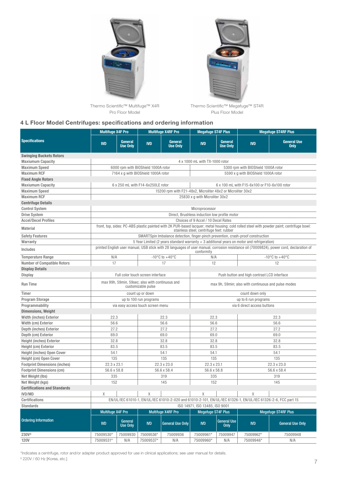



Thermo Scientific™ Multifuge™ X4R Pro Floor Model

Thermo Scientific™ Megafuge™ ST4R Plus Floor Model

#### 4 L Floor Model Centrifuges: specifications and ordering information

|                                      | <b>Multifuge X4F Pro</b>                                                                                                                                                              |                            | <b>Multifuge X4RF Pro</b>           |                                                             | <b>Megafuge ST4F Plus</b>                           |                                   | <b>Megafuge ST4RF Plus</b>                                                                                    |                                   |  |  |
|--------------------------------------|---------------------------------------------------------------------------------------------------------------------------------------------------------------------------------------|----------------------------|-------------------------------------|-------------------------------------------------------------|-----------------------------------------------------|-----------------------------------|---------------------------------------------------------------------------------------------------------------|-----------------------------------|--|--|
| <b>Specifications</b>                | <b>IVD</b>                                                                                                                                                                            | General<br><b>Use Only</b> | <b>IVD</b>                          | General<br><b>Use Only</b>                                  | <b>IVD</b>                                          | General<br><b>Use Only</b>        | <b>IVD</b>                                                                                                    | <b>General Use</b><br><b>Only</b> |  |  |
| <b>Swinging Buckets Rotors</b>       |                                                                                                                                                                                       |                            |                                     |                                                             |                                                     |                                   |                                                                                                               |                                   |  |  |
| <b>Maxiumum Capacity</b>             | 4 x 1000 mL with TX-1000 rotor                                                                                                                                                        |                            |                                     |                                                             |                                                     |                                   |                                                                                                               |                                   |  |  |
| <b>Maximum Speed</b>                 |                                                                                                                                                                                       |                            | 6000 rpm with BIOShield 1000A rotor |                                                             |                                                     |                                   | 5300 rpm with BIOShield 1000A rotor                                                                           |                                   |  |  |
| <b>Maximum RCF</b>                   |                                                                                                                                                                                       |                            | 7164 x g with BIOShield 1000A rotor |                                                             |                                                     |                                   | 5590 x g with BIOShield 1000A rotor                                                                           |                                   |  |  |
| <b>Fixed Angle Rotors</b>            |                                                                                                                                                                                       |                            |                                     |                                                             |                                                     |                                   |                                                                                                               |                                   |  |  |
| <b>Maxiumum Capacity</b>             |                                                                                                                                                                                       |                            | 6 x 250 mL with F14-6x250LE rotor   |                                                             | 6 x 100 mL with F15-6x100 or F10-6x100 rotor        |                                   |                                                                                                               |                                   |  |  |
| <b>Maximum Speed</b>                 |                                                                                                                                                                                       |                            |                                     | 15200 rpm with F21-48x2, Microliter 48x2 or Microliter 30x2 |                                                     |                                   |                                                                                                               |                                   |  |  |
| <b>Maximum RCF</b>                   | 25830 x q with Microliter 30x2                                                                                                                                                        |                            |                                     |                                                             |                                                     |                                   |                                                                                                               |                                   |  |  |
| <b>Centrifuge Details</b>            |                                                                                                                                                                                       |                            |                                     |                                                             |                                                     |                                   |                                                                                                               |                                   |  |  |
| <b>Control System</b>                | Microprocessor                                                                                                                                                                        |                            |                                     |                                                             |                                                     |                                   |                                                                                                               |                                   |  |  |
| <b>Drive System</b>                  | Direct, Brushless induction low profile motor                                                                                                                                         |                            |                                     |                                                             |                                                     |                                   |                                                                                                               |                                   |  |  |
| <b>Accel/Decel Profiles</b>          | Choices of 9 Accel / 10 Decel Rates                                                                                                                                                   |                            |                                     |                                                             |                                                     |                                   |                                                                                                               |                                   |  |  |
| <b>Material</b>                      | front, top, sides: PC-ABS plastic painted with 2K PUR-based lacquer; metal housing: cold rolled steel with powder paint; centrifuge bowl:<br>stainless steel; centrifuge feet: rubber |                            |                                     |                                                             |                                                     |                                   |                                                                                                               |                                   |  |  |
| <b>Safety Features</b>               | SMARTSpin Imbalance detection, finger-pinch prevention, crash-proof construction                                                                                                      |                            |                                     |                                                             |                                                     |                                   |                                                                                                               |                                   |  |  |
| Warranty                             | 5 Year Limited (2 years standard warranty + 3 additional years on motor and refrigeration)                                                                                            |                            |                                     |                                                             |                                                     |                                   |                                                                                                               |                                   |  |  |
| Includes                             | printed English user manual, USB stick with 28 languages of user manual, corrosion resistance oil (70009824), power cord, declaration of<br>conformity                                |                            |                                     |                                                             |                                                     |                                   |                                                                                                               |                                   |  |  |
| <b>Temperature Range</b>             | N/A                                                                                                                                                                                   |                            |                                     | -10 $\mathrm{^{\circ}C}$ to +40 $\mathrm{^{\circ}C}$        | N/A                                                 |                                   | $-10^{\circ}$ C to $+40^{\circ}$ C                                                                            |                                   |  |  |
| <b>Number of Compatible Rotors</b>   | 17                                                                                                                                                                                    |                            |                                     | 17                                                          | 12                                                  |                                   |                                                                                                               | 12                                |  |  |
| <b>Display Details</b>               |                                                                                                                                                                                       |                            |                                     |                                                             |                                                     |                                   |                                                                                                               |                                   |  |  |
| <b>Display</b>                       | Full color touch screen interface                                                                                                                                                     |                            |                                     |                                                             |                                                     |                                   | Push button and high contrast LCD interface                                                                   |                                   |  |  |
| <b>Run Time</b>                      | max 99h, 59min, 59sec; also with continuous and<br>customizable pulse                                                                                                                 |                            |                                     |                                                             | max 9h, 59min; also with continuous and pulse modes |                                   |                                                                                                               |                                   |  |  |
| Timer                                |                                                                                                                                                                                       |                            | count up or down                    |                                                             | count down only                                     |                                   |                                                                                                               |                                   |  |  |
| Program Storage                      | up to 100 run programs                                                                                                                                                                |                            |                                     |                                                             | up to 6 run programs                                |                                   |                                                                                                               |                                   |  |  |
| Programmability                      | via easy access touch screen menu                                                                                                                                                     |                            |                                     |                                                             | via 6 direct access buttons                         |                                   |                                                                                                               |                                   |  |  |
| <b>Dimensions, Weight</b>            |                                                                                                                                                                                       |                            |                                     |                                                             |                                                     |                                   |                                                                                                               |                                   |  |  |
| Width (inches) Exterior              | 22.3                                                                                                                                                                                  |                            | 22.3                                |                                                             | 22.3                                                |                                   | 22.3                                                                                                          |                                   |  |  |
| Width (cm) Exterior                  | 56.6                                                                                                                                                                                  |                            | 56.6                                |                                                             | 56.6                                                |                                   | 56.6                                                                                                          |                                   |  |  |
| Depth (inches) Exterior              | 27.2                                                                                                                                                                                  |                            | 27.2                                |                                                             | 27.2                                                |                                   | 27.2                                                                                                          |                                   |  |  |
| Depth (cm) Exterior                  | 69.0                                                                                                                                                                                  |                            | 69.0                                |                                                             | 69.0                                                |                                   | 69.0                                                                                                          |                                   |  |  |
| <b>Height (inches) Exterior</b>      | 32.8                                                                                                                                                                                  |                            | 32.8                                |                                                             | 32.8                                                |                                   | 32.8                                                                                                          |                                   |  |  |
| Height (cm) Exterior                 | 83.5                                                                                                                                                                                  |                            | 83.5                                |                                                             | 83.5                                                |                                   | 83.5                                                                                                          |                                   |  |  |
| Height (inches) Open Cover           | 54.1                                                                                                                                                                                  |                            | 54.1                                |                                                             | 54.1                                                |                                   | 54.1                                                                                                          |                                   |  |  |
| Height (cm) Open Cover               |                                                                                                                                                                                       | 135                        |                                     | 135                                                         |                                                     | 135                               |                                                                                                               | 135                               |  |  |
| <b>Footprint Dimensions (inches)</b> | 22.3 x 23.1                                                                                                                                                                           |                            | 22.3 x 23.0                         |                                                             | 22.3 x 23.1                                         |                                   | 22.3 x 23.0                                                                                                   |                                   |  |  |
| <b>Footprint Dimensions (cm)</b>     | 56.6 x 58.8                                                                                                                                                                           |                            | 56.6 x 58.4                         |                                                             | 56.6 x 58.8                                         |                                   | 56.6 x 58.4                                                                                                   |                                   |  |  |
| Net Weight (lbs)                     | 335                                                                                                                                                                                   |                            | 319                                 |                                                             | 335                                                 |                                   | 319                                                                                                           |                                   |  |  |
| Net Weight (kgs)                     | 152                                                                                                                                                                                   |                            | 145                                 |                                                             | 152                                                 |                                   | 145                                                                                                           |                                   |  |  |
| <b>Certifications and Standards</b>  |                                                                                                                                                                                       |                            |                                     |                                                             |                                                     |                                   |                                                                                                               |                                   |  |  |
| IVD/MD                               | X                                                                                                                                                                                     |                            | X                                   |                                                             | X                                                   |                                   | X                                                                                                             |                                   |  |  |
| Certifications                       |                                                                                                                                                                                       |                            |                                     |                                                             |                                                     |                                   | EN/UL/IEC 61010-1, EN/UL/IEC 61010-2-020 and 61010-2-101, EN/UL/IEC 61326-1, EN/UL/IEC 61326-2-6, FCC part 15 |                                   |  |  |
| <b>Standards</b>                     | ISO 14971, ISO 13485, ISO 9001                                                                                                                                                        |                            |                                     |                                                             |                                                     |                                   |                                                                                                               |                                   |  |  |
|                                      | <b>Multifuge X4F Pro</b>                                                                                                                                                              |                            | Multifuge X4RF Pro                  |                                                             | <b>Megafuge ST4F Plus</b>                           |                                   | <b>Megafuge ST4RF Plus</b>                                                                                    |                                   |  |  |
| <b>Ordering Information</b>          | <b>IVD</b>                                                                                                                                                                            | General<br><b>Use Only</b> | <b>IVD</b>                          | <b>General Use Only</b>                                     | <b>IVD</b>                                          | <b>General Use</b><br><b>Only</b> | $ND$                                                                                                          | <b>General Use Only</b>           |  |  |
| 230V <sup>§</sup>                    | 75009530*                                                                                                                                                                             | 75009930                   | 75009536*                           | 75009936                                                    | 75009961*                                           | 75009947                          | 75009962*                                                                                                     | 75009948                          |  |  |
| <b>120V</b>                          | 75009531*                                                                                                                                                                             | N/A                        | 75009537*                           | N/A                                                         | 75009960*                                           | N/A                               | 75009946*                                                                                                     | N/A                               |  |  |

\*Indicates a centrifuge, rotor and/or adapter product approved for use in clinical applications; see user manual for details. § 220V / 60 Hz [Korea, etc.]